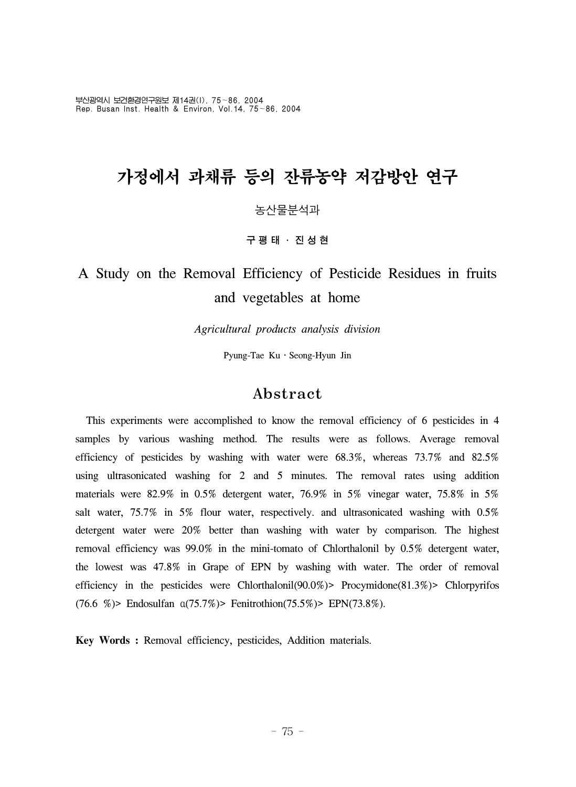부산광역시 보건환경연구원보 제14권(I), 75~86, 2004 Rep. Busan Inst. Health & Environ, Vol.14, 75~86, 2004

# 가정에서 과채류 등의 잔류농약 저감방안 연구

### 농산물분석과

#### 구평태 ․ 진성현

## A Study on the Removal Efficiency of Pesticide Residues in fruits and vegetables at home

*Agricultural products analysis division*

Pyung-Tae Ku · Seong-Hyun Jin

### Abstract

 This experiments were accomplished to know the removal efficiency of 6 pesticides in 4 samples by various washing method. The results were as follows. Average removal efficiency of pesticides by washing with water were 68.3%, whereas 73.7% and 82.5% using ultrasonicated washing for 2 and 5 minutes. The removal rates using addition materials were 82.9% in 0.5% detergent water, 76.9% in 5% vinegar water, 75.8% in 5% salt water, 75.7% in 5% flour water, respectively. and ultrasonicated washing with 0.5% detergent water were 20% better than washing with water by comparison. The highest removal efficiency was 99.0% in the mini-tomato of Chlorthalonil by 0.5% detergent water, the lowest was 47.8% in Grape of EPN by washing with water. The order of removal efficiency in the pesticides were Chlorthalonil(90.0%)> Procymidone(81.3%)> Chlorpyrifos (76.6 %)> Endosulfan α(75.7%)> Fenitrothion(75.5%)> EPN(73.8%).

**Key Words :** Removal efficiency, pesticides, Addition materials.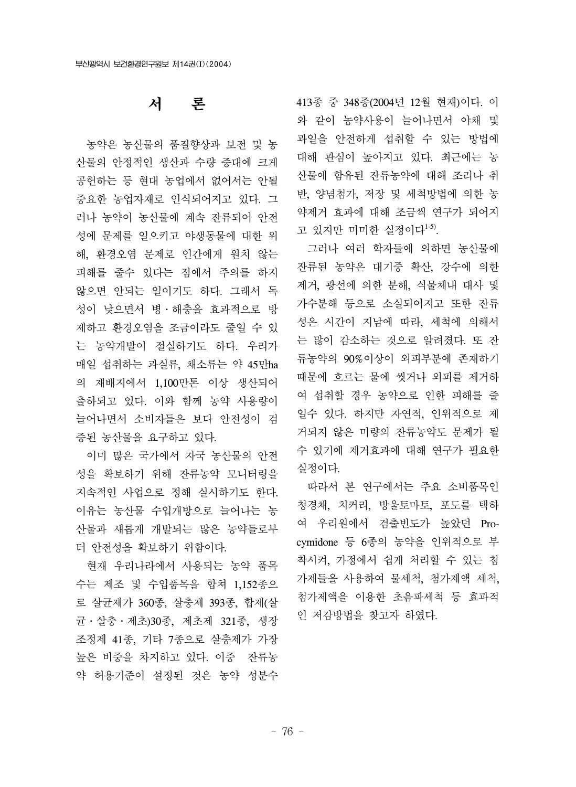## 서 론

 농약은 농산물의 품질향상과 보전 및 농 산물의 안정적인 생산과 수량 증대에 크게 공헌하는 등 현대 농업에서 없어서는 안될 중요한 농업자재로 인식되어지고 있다. 그 러나 농약이 농산물에 계속 잔류되어 안전 성에 문제를 일으키고 야생동물에 대한 위 해, 환경오염 문제로 인간에게 원치 않는 피해를 줄수 있다는 점에서 주의를 하지 않으면 안되는 일이기도 하다. 그래서 독 성이 낮으면서 병․해충을 효과적으로 방 제하고 환경오염을 조금이라도 줄일 수 있 는 농약개발이 절실하기도 하다. 우리가 매일 섭취하는 과실류, 채소류는 약 45만ha 의 재배지에서 1,100만톤 이상 생산되어 출하되고 있다. 이와 함께 농약 사용량이 늘어나면서 소비자들은 보다 안전성이 검 증된 농산물을 요구하고 있다.

 이미 많은 국가에서 자국 농산물의 안전 성을 확보하기 위해 잔류농약 모니터링을 지속적인 사업으로 정해 실시하기도 한다. 이유는 농산물 수입개방으로 늘어나는 농 산물과 새롭게 개발되는 많은 농약들로부 터 안전성을 확보하기 위함이다.

 현재 우리나라에서 사용되는 농약 품목 수는 제조 및 수입품목을 합쳐 1,152종으 로 살균제가 360종, 살충제 393종, 합제(살 균․살충․제초)30종, 제초제 321종, 생장 조정제 41종, 기타 7종으로 살충제가 가장 높은 비중을 차지하고 있다. 이중 잔류농 약 허용기준이 설정된 것은 농약 성분수

413종 중 348종(2004년 12월 현재)이다. 이 와 같이 농약사용이 늘어나면서 야채 및 과일을 안전하게 섭취할 수 있는 방법에 대해 관심이 높아지고 있다. 최근에는 농 산물에 함유된 잔류농약에 대해 조리나 취 반, 양념첨가, 저장 및 세척방법에 의한 농 약제거 효과에 대해 조금씩 연구가 되어지 고 있지만 미미한 실정이다 $^{1-5}$ .

 그러나 여러 학자들에 의하면 농산물에 잔류된 농약은 대기중 확산, 강수에 의한 제거, 광선에 의한 분해, 식물체내 대사 및 가수분해 등으로 소실되어지고 또한 잔류 성은 시간이 지남에 따라, 세척에 의해서 는 많이 감소하는 것으로 알려졌다. 또 잔 류농약의 90%이상이 외피부분에 존재하기 때문에 흐르는 물에 씻거나 외피를 제거하 여 섭취할 경우 농약으로 인한 피해를 줄 일수 있다. 하지만 자연적, 인위적으로 제 거되지 않은 미량의 잔류농약도 문제가 될 수 있기에 제거효과에 대해 연구가 필요한 실정이다.

 따라서 본 연구에서는 주요 소비품목인 청경채, 치커리, 방울토마토, 포도를 택하 여 우리원에서 검출빈도가 높았던 Procymidone 등 6종의 농약을 인위적으로 부 착시켜, 가정에서 쉽게 처리할 수 있는 첨 가제들을 사용하여 물세척, 첨가제액 세척, 첨가제액을 이용한 초음파세척 등 효과적 인 저감방법을 찾고자 하였다.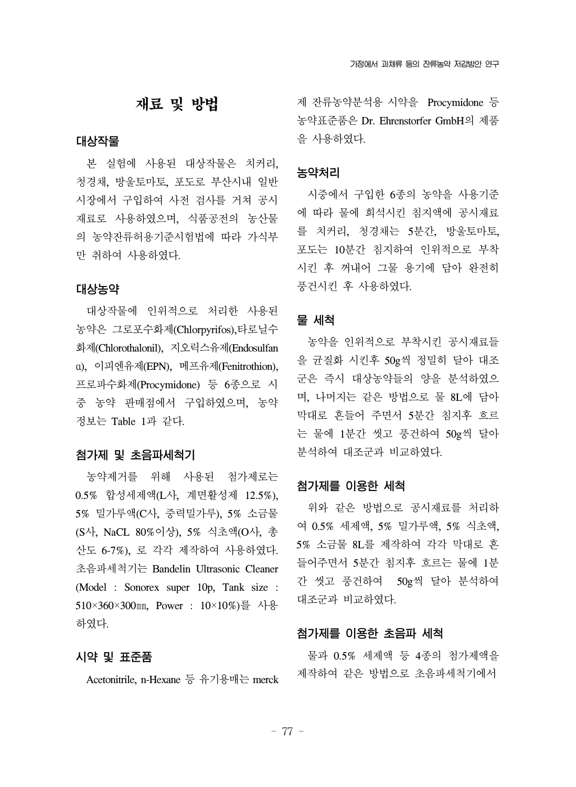## 재료 및 방법

#### 대상작물

 본 실험에 사용된 대상작물은 치커리, 청경채, 방울토마토, 포도로 부산시내 일반 시장에서 구입하여 사전 검사를 거쳐 공시 재료로 사용하였으며, 식품공전의 농산물 의 농약잔류허용기준시험법에 따라 가식부 만 취하여 사용하였다.

#### 대상농약

 대상작물에 인위적으로 처리한 사용된 농약은 그로포수화제(Chlorpyrifos),타로닐수 화제(Chlorothalonil), 지오릭스유제(Endosulfan α), 이피엔유제(EPN), 메프유제(Fenitrothion), 프로파수화제(Procymidone) 등 6종으로 시 중 농약 판매점에서 구입하였으며, 농약 정보는 Table 1과 같다.

#### 첨가제 및 초음파세척기

 농약제거를 위해 사용된 첨가제로는 0.5% 합성세제액(L사, 계면활성제 12.5%), 5% 밀가루액(C사, 중력밀가루), 5% 소금물 (S사, NaCL 80%이상), 5% 식초액(O사, 총 산도 6-7%), 로 각각 제작하여 사용하였다. 초음파세척기는 Bandelin Ultrasonic Cleaner (Model : Sonorex super 10p, Tank size : 510×360×300㎜, Power : 10×10%)를 사용 하였다.

#### 시약 및 표준품

Acetonitrile, n-Hexane 등 유기용매는 merck

제 잔류농약분석용 시약을 Procymidone 등 농약표준품은 Dr. Ehrenstorfer GmbH의 제품 을 사용하였다.

#### 농약처리

 시중에서 구입한 6종의 농약을 사용기준 에 따라 물에 희석시킨 침지액에 공시재료 를 치커리, 청경채는 5분간, 방울토마토, 포도는 10분간 침지하여 인위적으로 부착 시킨 후 꺼내어 그물 용기에 담아 완전히 풍건시킨 후 사용하였다.

#### 물 세척

 농약을 인위적으로 부착시킨 공시재료들 을 균질화 시킨후 50g씩 정밀히 달아 대조 군은 즉시 대상농약들의 양을 분석하였으 며, 나머지는 같은 방법으로 물 8L에 담아 막대로 흔들어 주면서 5분간 침지후 흐르 는 물에 1분간 씻고 풍건하여 50g씩 달아 분석하여 대조군과 비교하였다.

#### 첨가제를 이용한 세척

 위와 같은 방법으로 공시재료를 처리하 여 0.5% 세제액, 5% 밀가루액, 5% 식초액, 5% 소금물 8L를 제작하여 각각 막대로 흔 들어주면서 5분간 침지후 흐르는 물에 1분 간 씻고 풍건하여 50g씩 달아 분석하여 대조군과 비교하였다.

#### 첨가제를 이용한 초음파 세척

 물과 0.5% 세제액 등 4종의 첨가제액을 제작하여 같은 방법으로 초음파세척기에서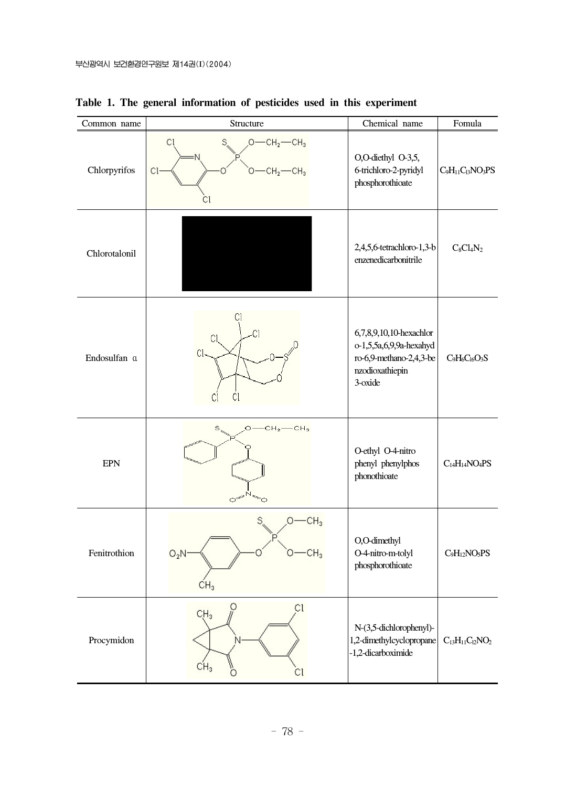| Common name   | Structure                                                                                | Chemical name                                                                                               | Fomula                                                       |
|---------------|------------------------------------------------------------------------------------------|-------------------------------------------------------------------------------------------------------------|--------------------------------------------------------------|
| Chlorpyrifos  | S,<br>$O$ —CH <sub>2</sub> —CH <sub>3</sub><br>Сl<br>$-CH2$ -CH <sub>3</sub><br>Cŀ<br>Сl | O,O-diethyl O-3,5,<br>6-trichloro-2-pyridyl<br>phosphorothioate                                             | $C_9H_{11}C_{13}NO_3PS$                                      |
| Chlorotalonil |                                                                                          | 2,4,5,6-tetrachloro-1,3-b<br>enzenedicarbonitrile                                                           | $C_8Cl_4N_2$                                                 |
| Endosulfan a  | .ci<br>CI<br>CI<br>Cl<br>C                                                               | 6,7,8,9,10,10-hexachlor<br>o-1,5,5a,6,9,9a-hexahyd<br>ro-6,9-methano-2,4,3-be<br>nzodioxathiepin<br>3-oxide | $C_9H_6C_{16}O_3S$                                           |
| <b>EPN</b>    | $CH_2$ —CH <sub>3</sub><br>$\circ$<br>Ö                                                  | O-ethyl O-4-nitro<br>phenyl phenylphos<br>phonothioate                                                      | $C_{14}H_{14}NO_4PS$                                         |
| Fenitrothion  | CH <sub>3</sub><br>О-<br>CH <sub>3</sub><br>$O_2N$<br>$CH_3$                             | O,O-dimethyl<br>O-4-nitro-m-tolyl<br>phosphorothioate                                                       | $C_9H_{12}NO_5PS$                                            |
| Procymidon    | Ω<br>C1<br>CH <sub>3</sub><br>CH <sub>3</sub><br>Сl<br>Ο                                 | N-(3,5-dichlorophenyl)-<br>1,2-dimethylcyclopropane<br>-1,2-dicarboximide                                   | $\mathrm{C}_{13}\mathrm{H}_{11}\mathrm{C}_{12}\mathrm{NO}_2$ |

**Table 1. The general information of pesticides used in this experiment**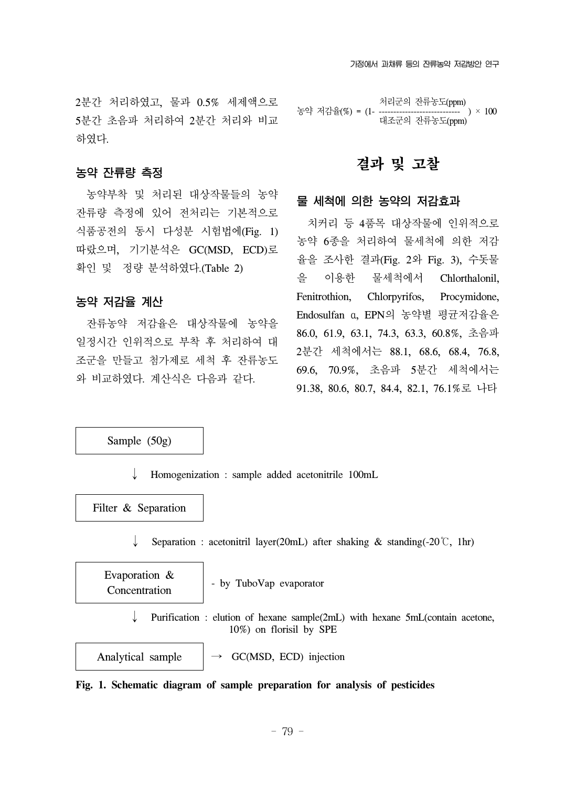2분간 처리하였고, 물과 0.5% 세제액으로 5분간 초음파 처리하여 2분간 처리와 비교 하였다.

### 농약 잔류량 측정

 농약부착 및 처리된 대상작물들의 농약 잔류량 측정에 있어 전처리는 기본적으로 식품공전의 동시 다성분 시험법에(Fig. 1) 따랐으며, 기기분석은 GC(MSD, ECD)로 확인 및 정량 분석하였다.(Table 2)

### 농약 저감율 계산

 잔류농약 저감율은 대상작물에 농약을 일정시간 인위적으로 부착 후 처리하여 대 조군을 만들고 첨가제로 세척 후 잔류농도 와 비교하였다. 계산식은 다음과 같다.

 처리군의 잔류농도(ppm) 농약 저감율(%) = (1-대조군의 잔류농도(ppm)

## 결과 및 고찰

### 물 세척에 의한 농약의 저감효과

 치커리 등 4품목 대상작물에 인위적으로 농약 6종을 처리하여 물세척에 의한 저감 율을 조사한 결과(Fig. 2와 Fig. 3), 수돗물 을 이용한 물세척에서 Chlorthalonil, Fenitrothion, Chlorpyrifos, Procymidone, Endosulfan α, EPN의 농약별 평균저감율은 86.0, 61.9, 63.1, 74.3, 63.3, 60.8%, 초음파 2분간 세척에서는 88.1, 68.6, 68.4, 76.8, 69.6, 70.9%, 초음파 5분간 세척에서는 91.38, 80.6, 80.7, 84.4, 82.1, 76.1%로 나타

Sample (50g)

↓ Homogenization : sample added acetonitrile 100mL

Filter & Separation

Separation : acetonitril layer(20mL) after shaking & standing(-20℃, 1hr)

Evaporation & Concentration

- by TuboVap evaporator

Purification : elution of hexane sample(2mL) with hexane 5mL(contain acetone, 10%) on florisil by SPE

Analytical sample

 $\rightarrow$  GC(MSD, ECD) injection

**Fig. 1. Schematic diagram of sample preparation for analysis of pesticides**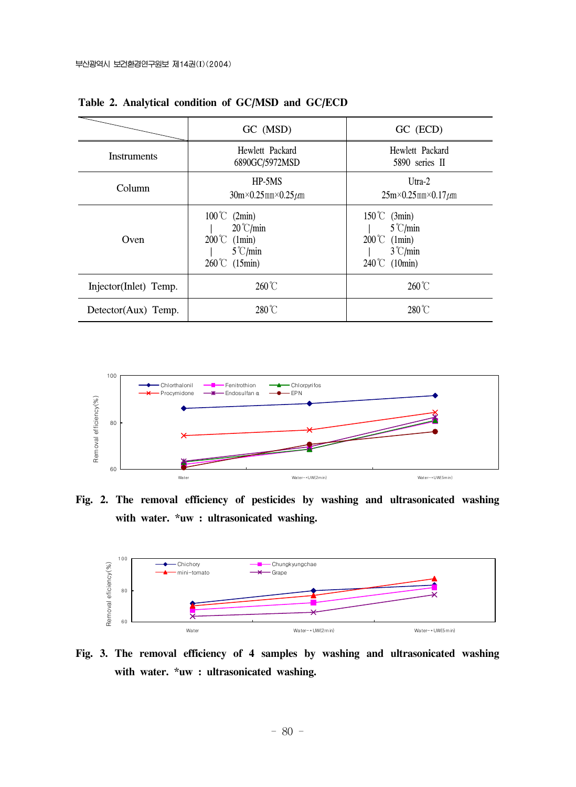|                       | GC (MSD)                                                                                                         | GC (ECD)                                                                                                          |  |
|-----------------------|------------------------------------------------------------------------------------------------------------------|-------------------------------------------------------------------------------------------------------------------|--|
| <b>Instruments</b>    | Hewlett Packard<br>6890GC/5972MSD                                                                                | Hewlett Packard<br>5890 series II                                                                                 |  |
| Column                | $HP-5MS$<br>$30m \times 0.25mm \times 0.25 \mu m$                                                                | $Utra-2$<br>$25m \times 0.25mm \times 0.17 \mu m$                                                                 |  |
| Oven                  | $100^{\circ}$ (2min)<br>$20^{\circ}$ C/min<br>$200^{\circ}$ (1min)<br>$5^{\circ}$ C/min<br>$260^{\circ}$ (15min) | $150^{\circ}$ (3min)<br>$5^{\circ}$ C/min<br>$200^{\circ}$ (1min)<br>$3^{\circ}$ C/min<br>$240^{\circ}$ C (10min) |  |
| Injector(Inlet) Temp. | $260^{\circ}$ C                                                                                                  | $260^{\circ}$ C                                                                                                   |  |
| Detector(Aux) Temp.   | $280^{\circ}$ C                                                                                                  | $280^{\circ}$ C                                                                                                   |  |

**Table 2. Analytical condition of GC/MSD and GC/ECD**



**Fig. 2. The removal efficiency of pesticides by washing and ultrasonicated washing with water. \*uw : ultrasonicated washing.**



**Fig. 3. The removal efficiency of 4 samples by washing and ultrasonicated washing with water. \*uw : ultrasonicated washing.**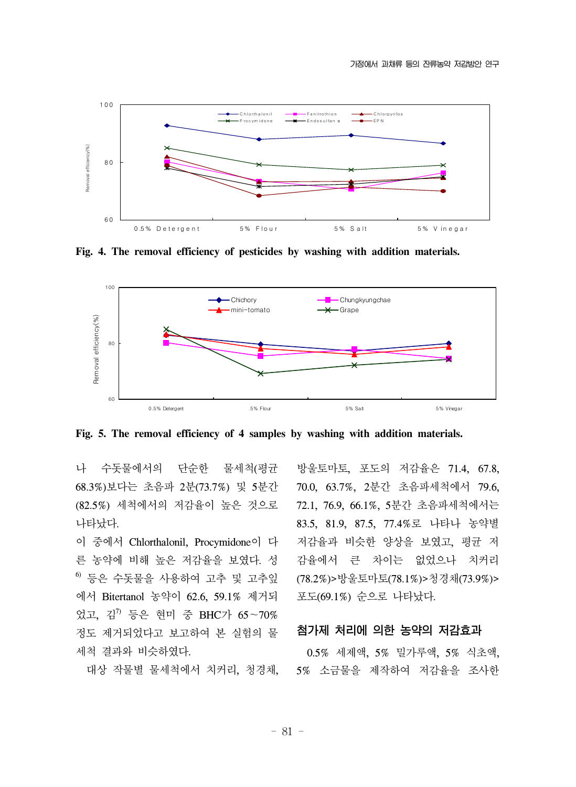

**Fig. 4. The removal efficiency of pesticides by washing with addition materials.**



**Fig. 5. The removal efficiency of 4 samples by washing with addition materials.**

나 수돗물에서의 단순한 물세척(평균 68.3%)보다는 초음파 2분(73.7%) 및 5분간 (82.5%) 세척에서의 저감율이 높은 것으로 나타났다.

이 중에서 Chlorthalonil, Procymidone이 다 른 농약에 비해 높은 저감율을 보였다. 성  $^6$  등은 수돗물을 사용하여 고추 및 고추잎 에서 Bitertanol 농약이 62.6, 59.1% 제거되 었고, 김 $7$  등은 현미 중 BHC가 65~70% 정도 제거되었다고 보고하여 본 실험의 물 세척 결과와 비슷하였다.

대상 작물별 물세척에서 치커리, 청경채,

방울토마토, 포도의 저감율은 71.4, 67.8, 70.0, 63.7%, 2분간 초음파세척에서 79.6, 72.1, 76.9, 66.1%, 5분간 초음파세척에서는 83.5, 81.9, 87.5, 77.4%로 나타나 농약별 저감율과 비슷한 양상을 보였고, 평균 저 감율에서 큰 차이는 없었으나 치커리 (78.2%)>방울토마토(78.1%)>청경채(73.9%)> 포도(69.1%) 순으로 나타났다.

#### 첨가제 처리에 의한 농약의 저감효과

 0.5% 세제액, 5% 밀가루액, 5% 식초액, 5% 소금물을 제작하여 저감율을 조사한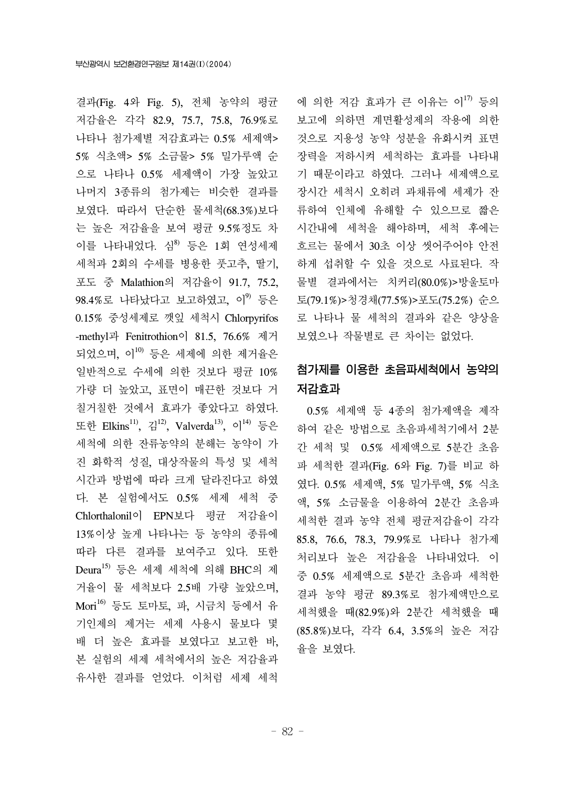결과(Fig. 4와 Fig. 5), 전체 농약의 평균 저감율은 각각 82.9, 75.7, 75.8, 76.9%로 나타나 첨가제별 저감효과는 0.5% 세제액> 5% 식초액> 5% 소금물> 5% 밀가루액 순 으로 나타나 0.5% 세제액이 가장 높았고 나머지 3종류의 첨가제는 비슷한 결과를 보였다. 따라서 단순한 물세척(68.3%)보다 는 높은 저감율을 보여 평균 9.5%정도 차 이를 나타내었다. 심 $^{8}$  등은 1회 연성세제 세척과 2회의 수세를 병용한 풋고추, 딸기, 포도 중 Malathion의 저감율이 91.7, 75.2,  $98.4\%$ 로 나타났다고 보고하였고, 이 $99$  등은 0.15% 중성세제로 깻잎 세척시 Chlorpyrifos -methyl과 Fenitrothion이 81.5, 76.6% 제거 되었으며, 이 $^{10}$  등은 세제에 의한 제거율은 일반적으로 수세에 의한 것보다 평균 10% 가량 더 높았고, 표면이 매끈한 것보다 거 칠거칠한 것에서 효과가 좋았다고 하였다. 또한 Elkins<sup>11</sup>, 김<sup>12</sup>, Valverda<sup>13</sup>, 이<sup>14)</sup> 등은 세척에 의한 잔류농약의 분해는 농약이 가 진 화학적 성질, 대상작물의 특성 및 세척 시간과 방법에 따라 크게 달라진다고 하였 다. 본 실험에서도 0.5% 세제 세척 중 Chlorthalonil이 EPN보다 평균 저감율이 13%이상 높게 나타나는 등 농약의 종류에 따라 다른 결과를 보여주고 있다. 또한 Deura15) 등은 세제 세척에 의해 BHC의 제 거율이 물 세척보다 2.5배 가량 높았으며, Mori16) 등도 토마토, 파, 시금치 등에서 유 기인제의 제거는 세제 사용시 물보다 몇 배 더 높은 효과를 보였다고 보고한 바, 본 실험의 세제 세척에서의 높은 저감율과 유사한 결과를 얻었다. 이처럼 세제 세척

에 의한 저감 효과가 큰 이유는 이<sup>17)</sup> 등의 보고에 의하면 계면활성제의 작용에 의한 것으로 지용성 농약 성분을 유화시켜 표면 장력을 저하시켜 세척하는 효과를 나타내 기 때문이라고 하였다. 그러나 세제액으로 장시간 세척시 오히려 과채류에 세제가 잔 류하여 인체에 유해할 수 있으므로 짧은 시간내에 세척을 해야하며, 세척 후에는 흐르는 물에서 30초 이상 씻어주어야 안전 하게 섭취할 수 있을 것으로 사료된다. 작 물별 결과에서는 치커리(80.0%)>방울토마 토(79.1%)>청경채(77.5%)>포도(75.2%) 순으 로 나타나 물 세척의 결과와 같은 양상을 보였으나 작물별로 큰 차이는 없었다.

## 첨가제를 이용한 초음파세척에서 농약의 저감효과

 0.5% 세제액 등 4종의 첨가제액을 제작 하여 같은 방법으로 초음파세척기에서 2분 간 세척 및 0.5% 세제액으로 5분간 초음 파 세척한 결과(Fig. 6와 Fig. 7)를 비교 하 였다. 0.5% 세제액, 5% 밀가루액, 5% 식초 액, 5% 소금물을 이용하여 2분간 초음파 세척한 결과 농약 전체 평균저감율이 각각 85.8, 76.6, 78.3, 79.9%로 나타나 첨가제 처리보다 높은 저감율을 나타내었다. 이 중 0.5% 세제액으로 5분간 초음파 세척한 결과 농약 평균 89.3%로 첨가제액만으로 세척했을 때(82.9%)와 2분간 세척했을 때 (85.8%)보다, 각각 6.4, 3.5%의 높은 저감 율을 보였다.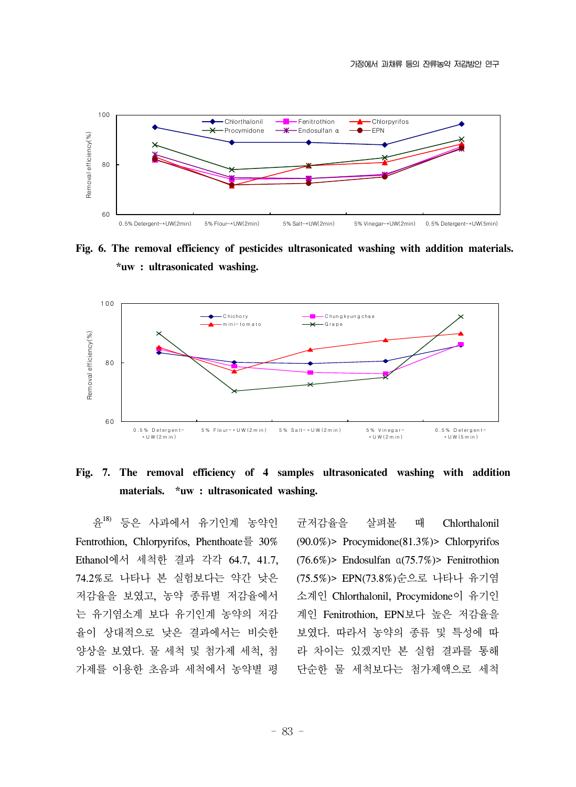

**Fig. 6. The removal efficiency of pesticides ultrasonicated washing with addition materials. \*uw : ultrasonicated washing.** 



### **Fig. 7. The removal efficiency of 4 samples ultrasonicated washing with addition materials. \*uw : ultrasonicated washing.**

 윤18) 등은 사과에서 유기인계 농약인 Fentrothion, Chlorpyrifos, Phenthoate를 30% Ethanol에서 세척한 결과 각각 64.7, 41.7, 74.2%로 나타나 본 실험보다는 약간 낮은 저감율을 보였고, 농약 종류별 저감율에서 는 유기염소계 보다 유기인계 농약의 저감 율이 상대적으로 낮은 결과에서는 비슷한 양상을 보였다. 물 세척 및 첨가제 세척, 첨 가제를 이용한 초음파 세척에서 농약별 평

균저감율을 살펴볼 때 Chlorthalonil (90.0%)> Procymidone(81.3%)> Chlorpyrifos (76.6%)> Endosulfan α(75.7%)> Fenitrothion (75.5%)> EPN(73.8%)순으로 나타나 유기염 소계인 Chlorthalonil, Procymidone이 유기인 계인 Fenitrothion, EPN보다 높은 저감율을 보였다. 따라서 농약의 종류 및 특성에 따 라 차이는 있겠지만 본 실험 결과를 통해 단순한 물 세척보다는 첨가제액으로 세척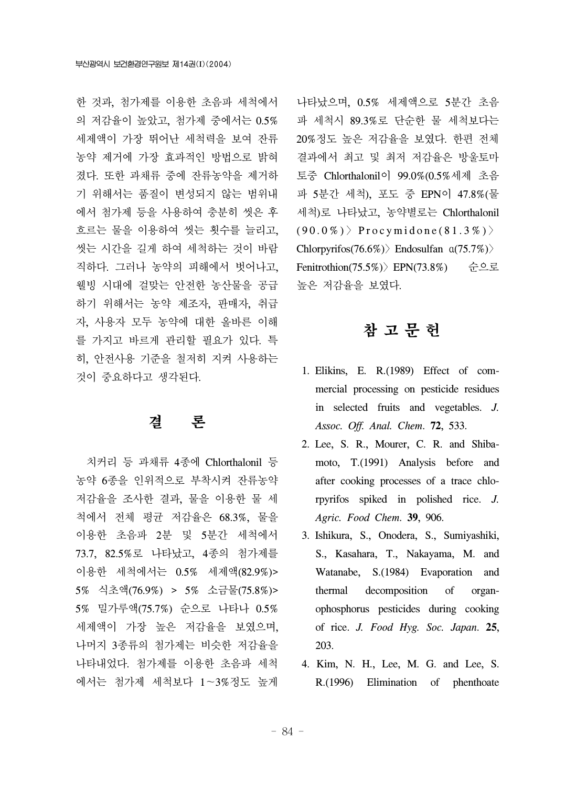한 것과, 첨가제를 이용한 초음파 세척에서 의 저감율이 높았고, 첨가제 중에서는 0.5% 세제액이 가장 뛰어난 세척력을 보여 잔류 농약 제거에 가장 효과적인 방법으로 밝혀 졌다. 또한 과채류 중에 잔류농약을 제거하 기 위해서는 품질이 변성되지 않는 범위내 에서 첨가제 등을 사용하여 충분히 씻은 후 흐르는 물을 이용하여 씻는 횟수를 늘리고, 씻는 시간을 길게 하여 세척하는 것이 바람 직하다. 그러나 농약의 피해에서 벗어나고, 웰빙 시대에 걸맞는 안전한 농산물을 공급 하기 위해서는 농약 제조자, 판매자, 취급 자, 사용자 모두 농약에 대한 올바른 이해 를 가지고 바르게 관리할 필요가 있다. 특 히, 안전사용 기준을 철저히 지켜 사용하는 것이 중요하다고 생각된다.

## 결 론

 치커리 등 과채류 4종에 Chlorthalonil 등 농약 6종을 인위적으로 부착시켜 잔류농약 저감율을 조사한 결과, 물을 이용한 물 세 척에서 전체 평균 저감율은 68.3%, 물을 이용한 초음파 2분 및 5분간 세척에서 73.7, 82.5%로 나타났고, 4종의 첨가제를 이용한 세척에서는 0.5% 세제액(82.9%)> 5% 식초액(76.9%) > 5% 소금물(75.8%)> 5% 밀가루액(75.7%) 순으로 나타나 0.5% 세제액이 가장 높은 저감율을 보였으며, 나머지 3종류의 첨가제는 비슷한 저감율을 나타내었다. 첨가제를 이용한 초음파 세척 에서는 첨가제 세척보다 1~3%정도 높게

나타났으며, 0.5% 세제액으로 5분간 초음 파 세척시 89.3%로 단순한 물 세척보다는 20%정도 높은 저감율을 보였다. 한편 전체 결과에서 최고 및 최저 저감율은 방울토마 토중 Chlorthalonil이 99.0%(0.5%세제 초음 파 5분간 세척), 포도 중 EPN이 47.8%(물 세척)로 나타났고, 농약별로는 Chlorthalonil  $(90.0\%)$  Procymidone(81.3%) > Chlorpyrifos(76.6%)〉Endosulfan α(75.7%)〉 Fenitrothion(75.5%)〉EPN(73.8%) 순으로 높은 저감율을 보였다.

## 참 고 문 헌

- 1. Elikins, E. R.(1989) Effect of commercial processing on pesticide residues in selected fruits and vegetables. *J. Assoc. Off. Anal. Chem*. **72**, 533.
- 2. Lee, S. R., Mourer, C. R. and Shibamoto, T.(1991) Analysis before and after cooking processes of a trace chlorpyrifos spiked in polished rice. *J. Agric. Food Chem*. **39**, 906.
- 3. Ishikura, S., Onodera, S., Sumiyashiki, S., Kasahara, T., Nakayama, M. and Watanabe, S.(1984) Evaporation and thermal decomposition of organophosphorus pesticides during cooking of rice. *J. Food Hyg. Soc. Japan*. **25**, 203.
- 4. Kim, N. H., Lee, M. G. and Lee, S. R.(1996) Elimination of phenthoate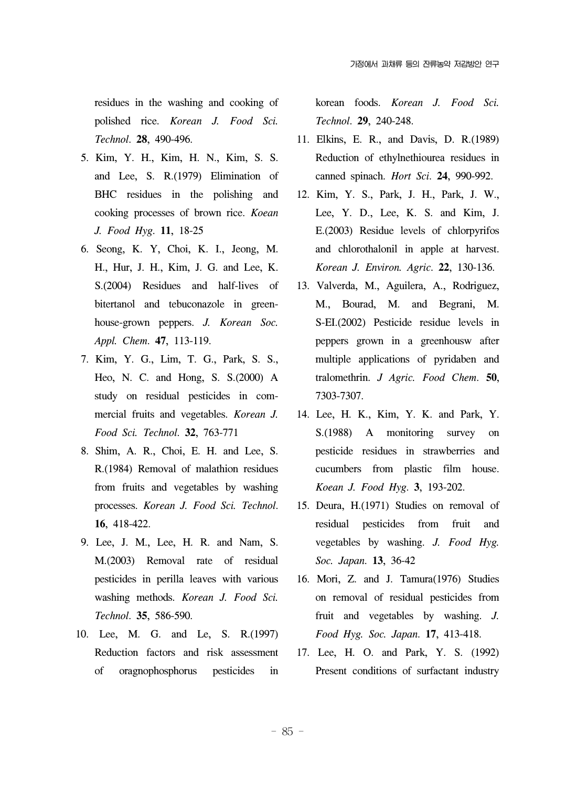residues in the washing and cooking of polished rice. *Korean J. Food Sci. Technol*. **28**, 490-496.

- 5. Kim, Y. H., Kim, H. N., Kim, S. S. and Lee, S. R.(1979) Elimination of BHC residues in the polishing and cooking processes of brown rice. *Koean J. Food Hyg*. **11**, 18-25
- 6. Seong, K. Y, Choi, K. I., Jeong, M. H., Hur, J. H., Kim, J. G. and Lee, K. S.(2004) Residues and half-lives of bitertanol and tebuconazole in greenhouse-grown peppers. *J. Korean Soc. Appl. Chem*. **47**, 113-119.
- 7. Kim, Y. G., Lim, T. G., Park, S. S., Heo, N. C. and Hong, S. S.(2000) A study on residual pesticides in commercial fruits and vegetables. *Korean J. Food Sci. Technol*. **32**, 763-771
- 8. Shim, A. R., Choi, E. H. and Lee, S. R.(1984) Removal of malathion residues from fruits and vegetables by washing processes. *Korean J. Food Sci. Technol*. **16**, 418-422.
- 9. Lee, J. M., Lee, H. R. and Nam, S. M.(2003) Removal rate of residual pesticides in perilla leaves with various washing methods. *Korean J. Food Sci. Technol*. **35**, 586-590.
- 10. Lee, M. G. and Le, S. R.(1997) Reduction factors and risk assessment of oragnophosphorus pesticides in

korean foods. *Korean J. Food Sci. Technol*. **29**, 240-248.

- 11. Elkins, E. R., and Davis, D. R.(1989) Reduction of ethylnethiourea residues in canned spinach. *Hort Sci*. **24**, 990-992.
- 12. Kim, Y. S., Park, J. H., Park, J. W., Lee, Y. D., Lee, K. S. and Kim, J. E.(2003) Residue levels of chlorpyrifos and chlorothalonil in apple at harvest. *Korean J. Environ. Agric*. **22**, 130-136.
- 13. Valverda, M., Aguilera, A., Rodriguez, M., Bourad, M. and Begrani, M. S-EI.(2002) Pesticide residue levels in peppers grown in a greenhousw after multiple applications of pyridaben and tralomethrin. *J Agric. Food Chem*. **50**, 7303-7307.
- 14. Lee, H. K., Kim, Y. K. and Park, Y. S.(1988) A monitoring survey on pesticide residues in strawberries and cucumbers from plastic film house. *Koean J. Food Hyg*. **3**, 193-202.
- 15. Deura, H.(1971) Studies on removal of residual pesticides from fruit and vegetables by washing. *J. Food Hyg. Soc. Japan*. **13**, 36-42
- 16. Mori, Z. and J. Tamura(1976) Studies on removal of residual pesticides from fruit and vegetables by washing. *J. Food Hyg. Soc. Japan*. **17**, 413-418.
- 17. Lee, H. O. and Park, Y. S. (1992) Present conditions of surfactant industry